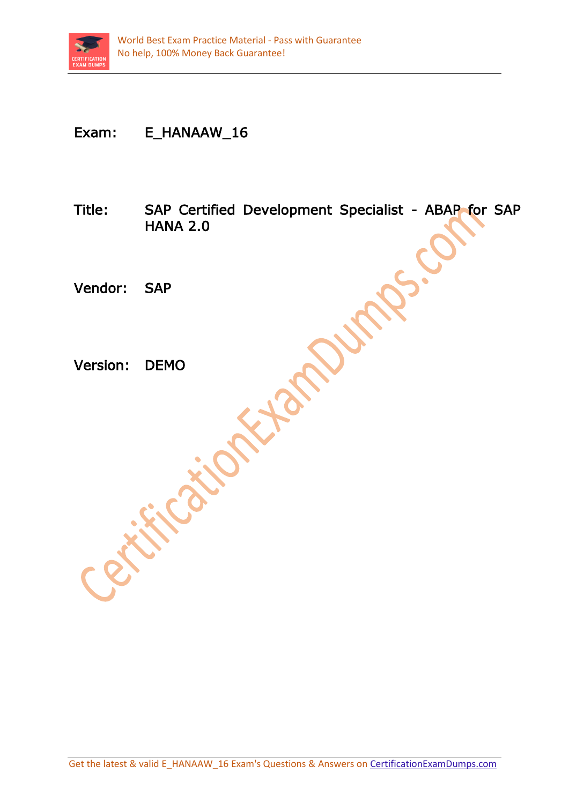

## Exam: E\_HANAAW\_16

Title: SAP Certified Development Specialist - ABAP for SAP HANA 2.0

Vendor: SAP

Version: DEMO<br>Version: DEMO<br>CREATION CONTAINS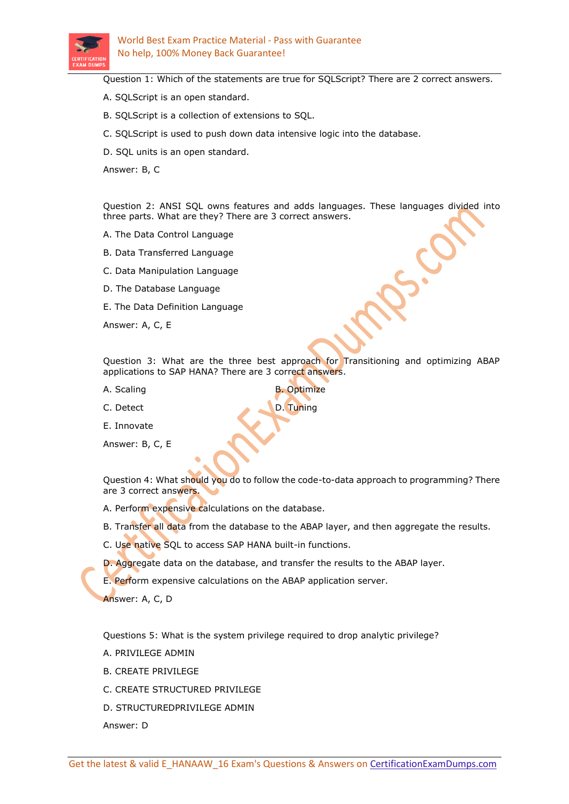

Question 1: Which of the statements are true for SQLScript? There are 2 correct answers.

- A. SQLScript is an open standard.
- B. SQLScript is a collection of extensions to SQL.
- C. SQLScript is used to push down data intensive logic into the database.
- D. SQL units is an open standard.

Answer: B, C

Question 2: ANSI SQL owns features and adds languages. These languages divided into three parts. What are they? There are 3 correct answers.

- A. The Data Control Language
- B. Data Transferred Language
- C. Data Manipulation Language
- D. The Database Language
- E. The Data Definition Language

Answer: A, C, E

Question 3: What are the three best approach for Transitioning and optimizing ABAP applications to SAP HANA? There are 3 correct answers.

- A. Scaling and B. Optimize
- C. Detect **D. Tuning**

E. Innovate

Answer: B, C, E

Question 4: What should you do to follow the code-to-data approach to programming? There are 3 correct answers.

A. Perform expensive calculations on the database.

- B. Transfer all data from the database to the ABAP layer, and then aggregate the results.
- C. Use native SQL to access SAP HANA built-in functions.
- D. Aggregate data on the database, and transfer the results to the ABAP layer.

E. Perform expensive calculations on the ABAP application server.

Answer: A, C, D

Questions 5: What is the system privilege required to drop analytic privilege?

- A. PRIVILEGE ADMIN
- B. CREATE PRIVILEGE
- C. CREATE STRUCTURED PRIVILEGE
- D. STRUCTUREDPRIVILEGE ADMIN

Answer: D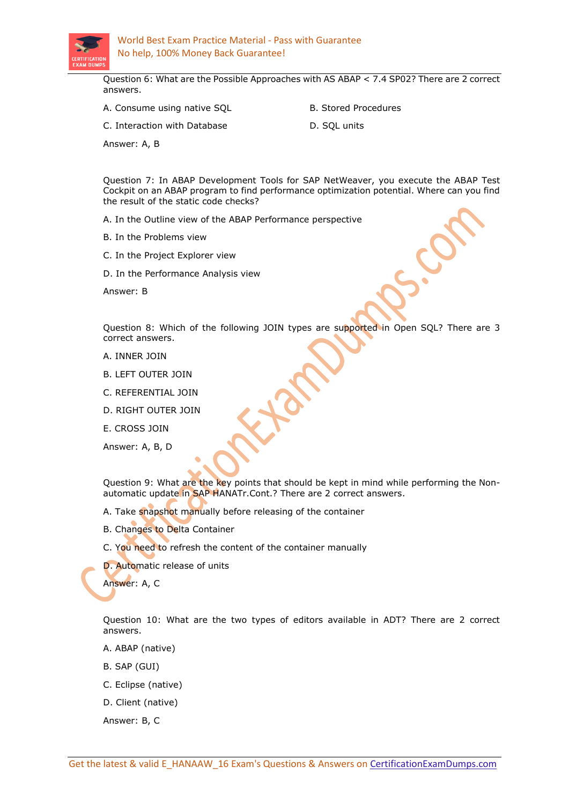

Question 6: What are the Possible Approaches with AS ABAP < 7.4 SP02? There are 2 correct answers.

- A. Consume using native SQL B. Stored Procedures
- 
- C. Interaction with Database **D. SOL units** 
	-

Answer: A, B

Question 7: In ABAP Development Tools for SAP NetWeaver, you execute the ABAP Test Cockpit on an ABAP program to find performance optimization potential. Where can you find the result of the static code checks?

A. In the Outline view of the ABAP Performance perspective

- B. In the Problems view
- C. In the Project Explorer view
- D. In the Performance Analysis view

Answer: B

Question 8: Which of the following JOIN types are supported in Open SQL? There are 3 correct answers.

- A. INNER JOIN
- B. LEFT OUTER JOIN
- C. REFERENTIAL JOIN
- D. RIGHT OUTER JOIN
- E. CROSS JOIN

Answer: A, B, D

Question 9: What are the key points that should be kept in mind while performing the Nonautomatic update in SAP HANATr.Cont.? There are 2 correct answers.

- A. Take snapshot manually before releasing of the container
- B. Changes to Delta Container
- C. You need to refresh the content of the container manually
- D. Automatic release of units

Answer: A, C

Question 10: What are the two types of editors available in ADT? There are 2 correct answers.

- A. ABAP (native)
- B. SAP (GUI)
- C. Eclipse (native)
- D. Client (native)
- Answer: B, C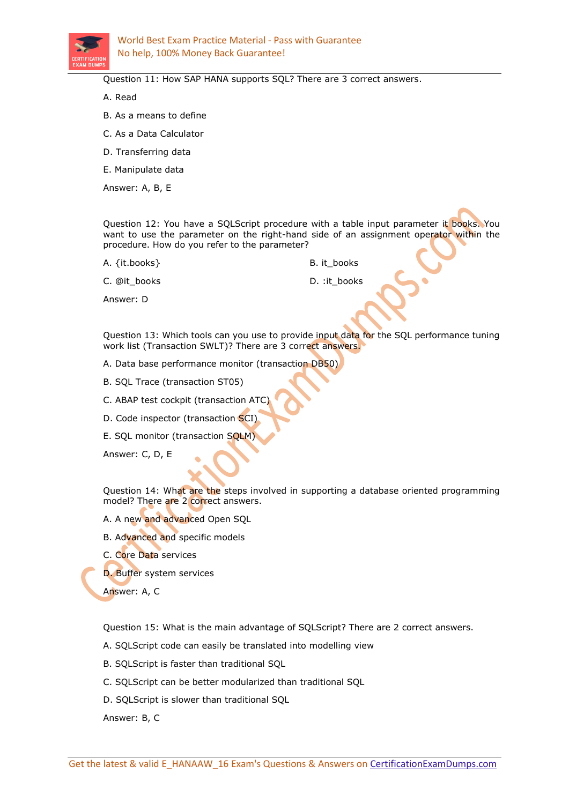

Question 11: How SAP HANA supports SQL? There are 3 correct answers.

A. Read

- B. As a means to define
- C. As a Data Calculator
- D. Transferring data

E. Manipulate data

Answer: A, B, E

Question 12: You have a SQLScript procedure with a table input parameter it books. You want to use the parameter on the right-hand side of an assignment operator within the procedure. How do you refer to the parameter?

A. {it.books} B. it\_books

C. @it\_books D. :it\_books

Answer: D

Question 13: Which tools can you use to provide input data for the SQL performance tuning work list (Transaction SWLT)? There are 3 correct answers.

- A. Data base performance monitor (transaction DB50)
- B. SQL Trace (transaction ST05)
- C. ABAP test cockpit (transaction ATC)
- D. Code inspector (transaction SCI)
- E. SQL monitor (transaction SQLM)

Answer: C, D, E

Question 14: What are the steps involved in supporting a database oriented programming model? There are 2 correct answers.

A. A new and advanced Open SQL

- B. Advanced and specific models
- C. Core Data services
- D. Buffer system services

Answer: A, C

Question 15: What is the main advantage of SQLScript? There are 2 correct answers.

- A. SQLScript code can easily be translated into modelling view
- B. SQLScript is faster than traditional SQL
- C. SQLScript can be better modularized than traditional SQL
- D. SQLScript is slower than traditional SQL

Answer: B, C